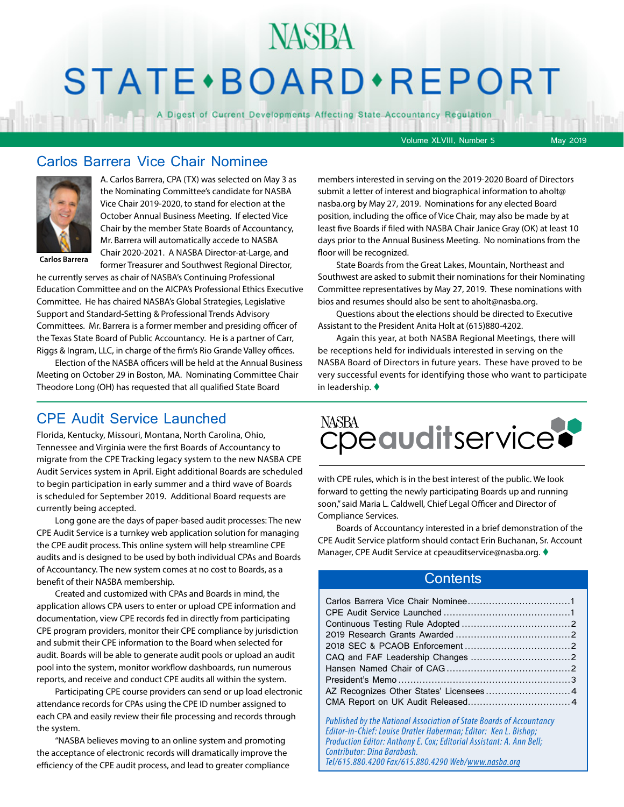# STATE · BOARD · REPORT

A Digest of Current Developments Affecting State Accountancy Regulation

Volume XLVIII, Number 5 May 2019

#### Carlos Barrera Vice Chair Nominee



A. Carlos Barrera, CPA (TX) was selected on May 3 as the Nominating Committee's candidate for NASBA Vice Chair 2019-2020, to stand for election at the October Annual Business Meeting. If elected Vice Chair by the member State Boards of Accountancy, Mr. Barrera will automatically accede to NASBA Chair 2020-2021. A NASBA Director-at-Large, and former Treasurer and Southwest Regional Director,

**Carlos Barrera**

he currently serves as chair of NASBA's Continuing Professional Education Committee and on the AICPA's Professional Ethics Executive Committee. He has chaired NASBA's Global Strategies, Legislative Support and Standard-Setting & Professional Trends Advisory Committees. Mr. Barrera is a former member and presiding officer of the Texas State Board of Public Accountancy. He is a partner of Carr, Riggs & Ingram, LLC, in charge of the firm's Rio Grande Valley offices.

Election of the NASBA officers will be held at the Annual Business Meeting on October 29 in Boston, MA. Nominating Committee Chair Theodore Long (OH) has requested that all qualified State Board

#### CPE Audit Service Launched

Florida, Kentucky, Missouri, Montana, North Carolina, Ohio, Tennessee and Virginia were the first Boards of Accountancy to migrate from the CPE Tracking legacy system to the new NASBA CPE Audit Services system in April. Eight additional Boards are scheduled to begin participation in early summer and a third wave of Boards is scheduled for September 2019. Additional Board requests are currently being accepted.

Long gone are the days of paper-based audit processes: The new CPE Audit Service is a turnkey web application solution for managing the CPE audit process. This online system will help streamline CPE audits and is designed to be used by both individual CPAs and Boards of Accountancy. The new system comes at no cost to Boards, as a benefit of their NASBA membership.

Created and customized with CPAs and Boards in mind, the application allows CPA users to enter or upload CPE information and documentation, view CPE records fed in directly from participating CPE program providers, monitor their CPE compliance by jurisdiction and submit their CPE information to the Board when selected for audit. Boards will be able to generate audit pools or upload an audit pool into the system, monitor workflow dashboards, run numerous reports, and receive and conduct CPE audits all within the system.

Participating CPE course providers can send or up load electronic attendance records for CPAs using the CPE ID number assigned to each CPA and easily review their file processing and records through the system.

"NASBA believes moving to an online system and promoting the acceptance of electronic records will dramatically improve the efficiency of the CPE audit process, and lead to greater compliance

members interested in serving on the 2019-2020 Board of Directors submit a letter of interest and biographical information to aholt@ nasba.org by May 27, 2019. Nominations for any elected Board position, including the office of Vice Chair, may also be made by at least five Boards if filed with NASBA Chair Janice Gray (OK) at least 10 days prior to the Annual Business Meeting. No nominations from the floor will be recognized.

State Boards from the Great Lakes, Mountain, Northeast and Southwest are asked to submit their nominations for their Nominating Committee representatives by May 27, 2019. These nominations with bios and resumes should also be sent to aholt@nasba.org.

Questions about the elections should be directed to Executive Assistant to the President Anita Holt at (615)880-4202.

Again this year, at both NASBA Regional Meetings, there will be receptions held for individuals interested in serving on the NASBA Board of Directors in future years. These have proved to be very successful events for identifying those who want to participate in leadership.  $\blacklozenge$ 



with CPE rules, which is in the best interest of the public. We look forward to getting the newly participating Boards up and running soon," said Maria L. Caldwell, Chief Legal Officer and Director of Compliance Services.

Boards of Accountancy interested in a brief demonstration of the CPE Audit Service platform should contact Erin Buchanan, Sr. Account Manager, CPE Audit Service at cpeauditservice@nasba.org. ♦

#### **Contents**

*Published by the National Association of State Boards of Accountancy Editor-in-Chief: Louise Dratler Haberman; Editor: Ken L. Bishop; Production Editor: Anthony E. Cox; Editorial Assistant: A. Ann Bell; Contributor: Dina Barabash. Tel/615.880.4200 Fax/615.880.4290 Web/www.nasba.org*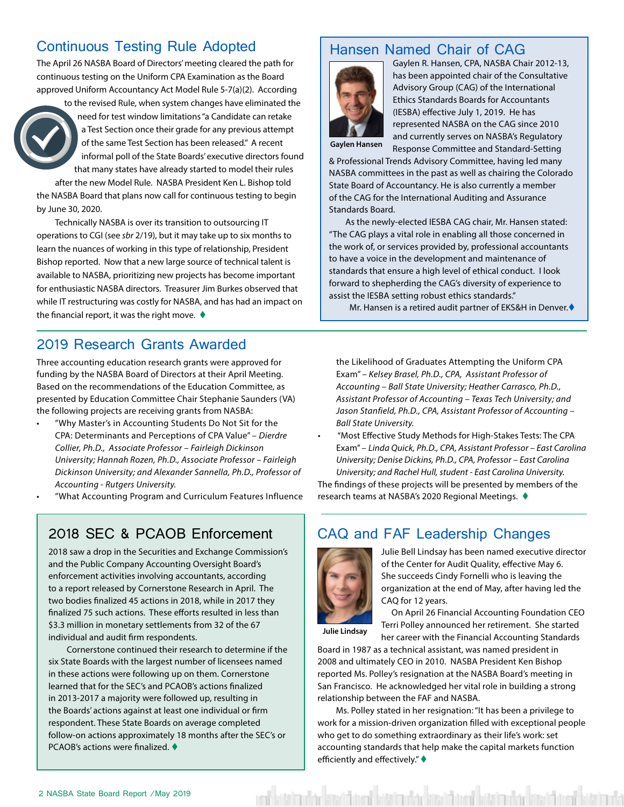#### <span id="page-1-0"></span>Continuous Testing Rule Adopted

The April 26 NASBA Board of Directors' meeting cleared the path for continuous testing on the Uniform CPA Examination as the Board approved Uniform Accountancy Act Model Rule 5-7(a)(2). According

> to the revised Rule, when system changes have eliminated the need for test window limitations "a Candidate can retake a Test Section once their grade for any previous attempt of the same Test Section has been released." A recent informal poll of the State Boards' executive directors found that many states have already started to model their rules

after the new Model Rule. NASBA President Ken L. Bishop told the NASBA Board that plans now call for continuous testing to begin by June 30, 2020.

Technically NASBA is over its transition to outsourcing IT operations to CGI (see *sbr* 2/19), but it may take up to six months to learn the nuances of working in this type of relationship, President Bishop reported. Now that a new large source of technical talent is available to NASBA, prioritizing new projects has become important for enthusiastic NASBA directors. Treasurer Jim Burkes observed that while IT restructuring was costly for NASBA, and has had an impact on the financial report, it was the right move.  $\blacklozenge$ 

#### 2019 Research Grants Awarded

Three accounting education research grants were approved for funding by the NASBA Board of Directors at their April Meeting. Based on the recommendations of the Education Committee, as presented by Education Committee Chair Stephanie Saunders (VA) the following projects are receiving grants from NASBA:

- "Why Master's in Accounting Students Do Not Sit for the CPA: Determinants and Perceptions of CPA Value" – *Dierdre Collier, Ph.D., Associate Professor – Fairleigh Dickinson University; Hannah Rozen, Ph.D., Associate Professor – Fairleigh Dickinson University; and Alexander Sannella, Ph.D., Professor of Accounting - Rutgers University.*
- "What Accounting Program and Curriculum Features Influence

#### 2018 SEC & PCAOB Enforcement

2018 saw a drop in the Securities and Exchange Commission's and the Public Company Accounting Oversight Board's enforcement activities involving accountants, according to a report released by Cornerstone Research in April. The two bodies finalized 45 actions in 2018, while in 2017 they finalized 75 such actions. These efforts resulted in less than \$3.3 million in monetary settlements from 32 of the 67 individual and audit firm respondents.

Cornerstone continued their research to determine if the six State Boards with the largest number of licensees named in these actions were following up on them. Cornerstone learned that for the SEC's and PCAOB's actions finalized in 2013-2017 a majority were followed up, resulting in the Boards' actions against at least one individual or firm respondent. These State Boards on average completed follow-on actions approximately 18 months after the SEC's or PCAOB's actions were finalized.  $\blacklozenge$ 

#### Hansen Named Chair of CAG



Gaylen R. Hansen, CPA, NASBA Chair 2012-13, has been appointed chair of the Consultative Advisory Group (CAG) of the International Ethics Standards Boards for Accountants (IESBA) effective July 1, 2019. He has represented NASBA on the CAG since 2010 and currently serves on NASBA's Regulatory Response Committee and Standard-Setting

**Gaylen Hansen**

& Professional Trends Advisory Committee, having led many NASBA committees in the past as well as chairing the Colorado State Board of Accountancy. He is also currently a member of the CAG for the International Auditing and Assurance Standards Board.

 As the newly-elected IESBA CAG chair, Mr. Hansen stated: "The CAG plays a vital role in enabling all those concerned in the work of, or services provided by, professional accountants to have a voice in the development and maintenance of standards that ensure a high level of ethical conduct. I look forward to shepherding the CAG's diversity of experience to assist the IESBA setting robust ethics standards."

Mr. Hansen is a retired audit partner of EKS&H in Denver. $\blacklozenge$ 

the Likelihood of Graduates Attempting the Uniform CPA Exam" *– Kelsey Brasel, Ph.D., CPA, Assistant Professor of Accounting – Ball State University; Heather Carrasco, Ph.D., Assistant Professor of Accounting – Texas Tech University; and Jason Stanfield, Ph.D., CPA, Assistant Professor of Accounting – Ball State University.*

• "Most Effective Study Methods for High-Stakes Tests: The CPA Exam" – *Linda Quick, Ph.D., CPA, Assistant Professor – East Carolina University; Denise Dickins, Ph.D., CPA, Professor – East Carolina University; and Rachel Hull, student - East Carolina University.* 

The findings of these projects will be presented by members of the research teams at NASBA's 2020 Regional Meetings. ♦

#### CAQ and FAF Leadership Changes



Julie Bell Lindsay has been named executive director of the Center for Audit Quality, effective May 6. She succeeds Cindy Fornelli who is leaving the organization at the end of May, after having led the CAQ for 12 years.

**Julie Lindsay**

 On April 26 Financial Accounting Foundation CEO Terri Polley announced her retirement. She started her career with the Financial Accounting Standards

Board in 1987 as a technical assistant, was named president in 2008 and ultimately CEO in 2010. NASBA President Ken Bishop reported Ms. Polley's resignation at the NASBA Board's meeting in San Francisco. He acknowledged her vital role in building a strong relationship between the FAF and NASBA.

Ms. Polley stated in her resignation: "It has been a privilege to work for a mission-driven organization filled with exceptional people who get to do something extraordinary as their life's work: set accounting standards that help make the capital markets function efficiently and effectively." $\blacklozenge$ 

red bitata utar bizatā ized bitata dar bizatā ized bitata utar bizatā izedā bitata uta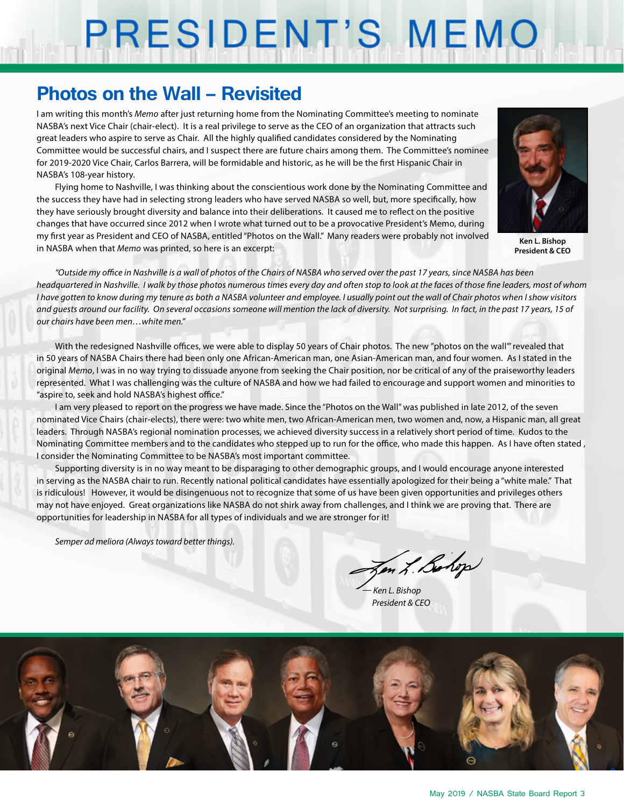# PRESIDENT'S MEMO

### **Photos on the Wall – Revisited**

I am writing this month's *Memo* after just returning home from the Nominating Committee's meeting to nominate NASBA's next Vice Chair (chair-elect). It is a real privilege to serve as the CEO of an organization that attracts such great leaders who aspire to serve as Chair. All the highly qualified candidates considered by the Nominating Committee would be successful chairs, and I suspect there are future chairs among them. The Committee's nominee for 2019-2020 Vice Chair, Carlos Barrera, will be formidable and historic, as he will be the first Hispanic Chair in NASBA's 108-year history.

Flying home to Nashville, I was thinking about the conscientious work done by the Nominating Committee and the success they have had in selecting strong leaders who have served NASBA so well, but, more specifically, how they have seriously brought diversity and balance into their deliberations. It caused me to reflect on the positive changes that have occurred since 2012 when I wrote what turned out to be a provocative President's Memo, during my first year as President and CEO of NASBA, entitled "Photos on the Wall." Many readers were probably not involved in NASBA when that *Memo* was printed, so here is an excerpt:



**Ken L. Bishop President & CEO**

*"Outside my office in Nashville is a wall of photos of the Chairs of NASBA who served over the past 17 years, since NASBA has been headquartered in Nashville. I walk by those photos numerous times every day and often stop to look at the faces of those fine leaders, most of whom I have gotten to know during my tenure as both a NASBA volunteer and employee. I usually point out the wall of Chair photos when I show visitors and guests around our facility. On several occasions someone will mention the lack of diversity. Not surprising. In fact, in the past 17 years, 15 of our chairs have been men…white men."*

With the redesigned Nashville offices, we were able to display 50 years of Chair photos. The new "photos on the wall"' revealed that in 50 years of NASBA Chairs there had been only one African-American man, one Asian-American man, and four women. As I stated in the original *Memo*, I was in no way trying to dissuade anyone from seeking the Chair position, nor be critical of any of the praiseworthy leaders represented. What I was challenging was the culture of NASBA and how we had failed to encourage and support women and minorities to "aspire to, seek and hold NASBA's highest office."

I am very pleased to report on the progress we have made. Since the "Photos on the Wall" was published in late 2012, of the seven nominated Vice Chairs (chair-elects), there were: two white men, two African-American men, two women and, now, a Hispanic man, all great leaders. Through NASBA's regional nomination processes, we achieved diversity success in a relatively short period of time. Kudos to the Nominating Committee members and to the candidates who stepped up to run for the office, who made this happen. As I have often stated , I consider the Nominating Committee to be NASBA's most important committee.

Supporting diversity is in no way meant to be disparaging to other demographic groups, and I would encourage anyone interested in serving as the NASBA chair to run. Recently national political candidates have essentially apologized for their being a "white male." That is ridiculous! However, it would be disingenuous not to recognize that some of us have been given opportunities and privileges others may not have enjoyed. Great organizations like NASBA do not shirk away from challenges, and I think we are proving that. There are opportunities for leadership in NASBA for all types of individuals and we are stronger for it!

*Semper ad meliora (Always toward better things).*

In L. Bohop

*— Ken L. Bishop President & CEO*